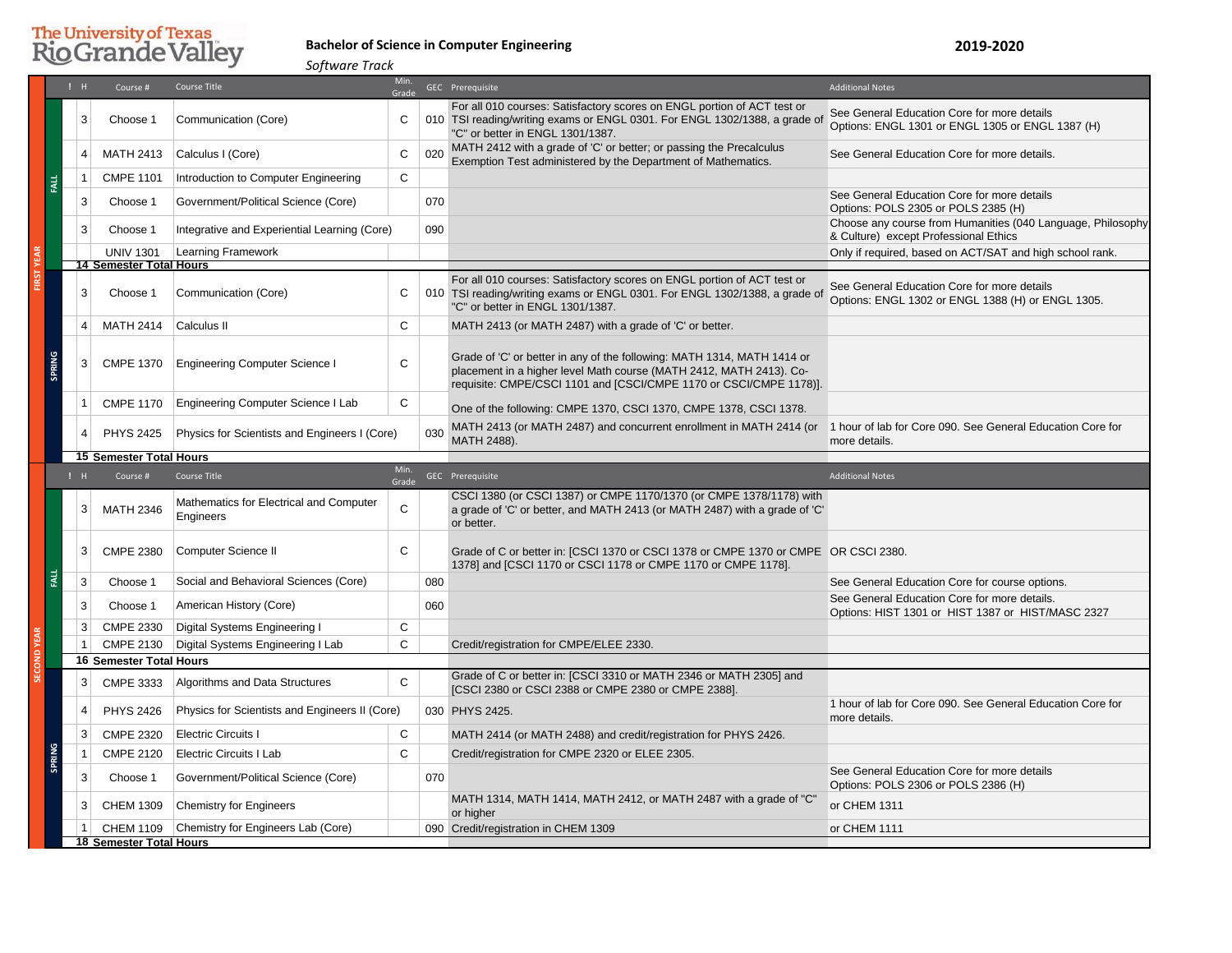# **The University of Texas Rio Grande Valley**

## **Bachelor of Science in Computer Engineering**

**2019-2020**

**!** H Course # Course Title Min. dia di Secolul anno 1922 anno 1922 anno 1922 anno 1922 anno 1922. Additional Notes anno 1922 anno 1922 anno 19<br>Grade 3 Choose 1 Communication (Core) C For all 010 courses: Satisfactory scores on ENGL portion of ACT test or TSI reading/writing exams or ENGL 0301. For ENGL 1302/1388, a grade of "C" or better in ENGL 1301/1387. See General Education Core for more details Options: ENGL 1301 or ENGL 1305 or ENGL 1387 (H) 4 MATH 2413 Calculus I (Core) C 020 MATH 2412 with a grade of 'C' or better; or passing the Precalculus 1 MATTT2412 with a grade of G of Better, or passing the Frecalculus See General Education Core for more details.<br>Exemption Test administered by the Department of Mathematics. 1 CMPE 1101 Introduction to Computer Engineering C 3 Choose 1 Government/Political Science (Core) 070 3 3 Choose 1 Covernment/Political Science (Core) 070 See General Education Core for more details Options: POLS 2305 or POLS 2385 (H) 3 Choose 1 Integrative and Experiential Learning (Core) 090 Choose any course from Humanities (040 Language, Philosophy & Culture) except Professional Ethics UNIV 1301 Learning Framework **Consumers and Consumers Consumers Consumers Consumers Consumers Consumers Consumers Consumers Consumers Consumers Consumers Consumers Consumers Consumers Consumers Consumers Consumers Consumer** 3 Choose 1 Communication (Core) C For all 010 courses: Satisfactory scores on ENGL portion of ACT test or TSI reading/writing exams or ENGL 0301. For ENGL 1302/1388, a grade of "C" or better in ENGL 1301/1387. See General Education Core for more details Options: ENGL 1302 or ENGL 1388 (H) or ENGL 1305. 4 MATH 2414 Calculus II C MATH 2413 (or MATH 2487) with a grade of 'C' or better. 3 CMPE 1370 Engineering Computer Science I C Grade of 'C' or better in any of the following: MATH 1314, MATH 1414 or placement in a higher level Math course (MATH 2412, MATH 2413). Corequisite: CMPE/CSCI 1101 and [CSCI/CMPE 1170 or CSCI/CMPE 1178)]. 1 CMPE 1170 Engineering Computer Science I Lab C | One of the following: CMPE 1370, CSCI 1370, CMPE 1378, CSCI 1378. 4 PHYS 2425 Physics for Scientists and Engineers I (Core) 030 MATH 2413 (or MATH 2487) and concurrent enrollment in MATH 2414 (or 1 hour of lab for Core 090. See General Education Core for MATH 2488). more details. **!** H Course # Course Title Min. dia and GEC Prerequisite Additional Notes<br>Grade Geographic Additional Notes  $3$  MATH 2346 Mathematics for Electrical and Computer  $\begin{array}{|l|} \hline \end{array}$ CSCI 1380 (or CSCI 1387) or CMPE 1170/1370 (or CMPE 1378/1178) with a grade of 'C' or better, and MATH 2413 (or MATH 2487) with a grade of 'C' or better. 3 CMPE 2380 Computer Science II C Grade of C or better in: [CSCI 1370 or CSCI 1378 or CMPE 1370 or CMPE OR CSCI 2380. 1378] and [CSCI 1170 or CSCI 1178 or CMPE 1170 or CMPE 1178]. 3 Choose 1 Social and Behavioral Sciences (Core) 080 See General Education Core for course options. 3 Choose 1 American History (Core) 060 060 See General Education Core for more details. Options: HIST 1301 or HIST 1387 or HIST/MASC 2327 3 CMPE 2330 Digital Systems Engineering I C 1 CMPE 2130 Digital Systems Engineering I Lab C Credit/registration for CMPE/ELEE 2330. 3 CMPE 3333 Algorithms and Data Structures C Grade of C or better in: [CSCI 3310 or MATH 2346 or MATH 2305] and [CSCI 2380 or CSCI 2388 or CMPE 2380 or CMPE 2388]. 4 PHYS 2426 Physics for Scientists and Engineers II (Core) 030 PHYS 2425. more details. 3 CMPE 2320 Electric Circuits I C MATH 2414 (or MATH 2488) and credit/registration for PHYS 2426. 1 CMPE 2120 Electric Circuits I Lab C Credit/registration for CMPE 2320 or ELEE 2305. 3 Choose 1 Government/Political Science (Core) 070 070 See General Education Core for more details Options: POLS 2306 or POLS 2386 (H) 3 CHEM 1309 Chemistry for Engineers MATH 1314, MATH 1414, MATH 2412, or MATH 2487 with a grade of "C" or CHEM 1311 1 CHEM 1109 Chemistry for Engineers Lab (Core) 090 Credit/registration in CHEM 1309 or CHEM 1111 **18 Semester Total Hours SECOND YEAR 16 Semester Total Hours**  $\vec{a}$ **SPRING** *Software Track* **FIRST YEAR FALL 14 Semester Total Hours SPRING 15 Semester Total Hours**